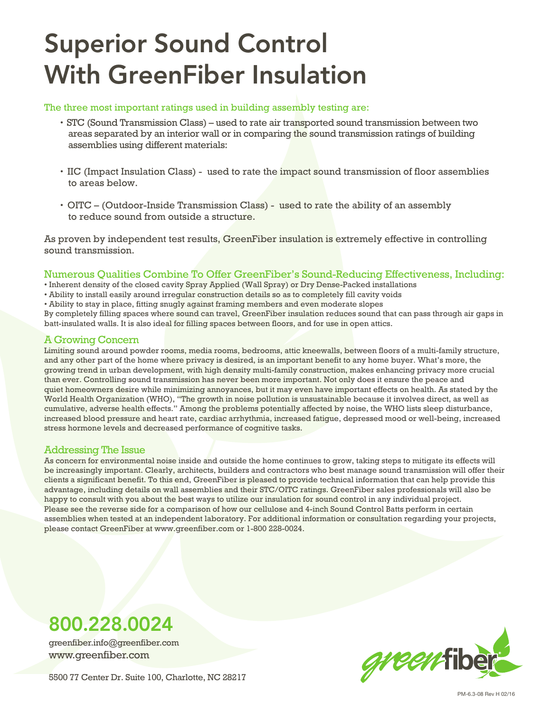# Superior Sound Control With GreenFiber Insulation

#### The three most important ratings used in building assembly testing are:

- STC (Sound Transmission Class) used to rate air transported sound transmission between two areas separated by an interior wall or in comparing the sound transmission ratings of building assemblies using different materials:
- IIC (Impact Insulation Class) used to rate the impact sound transmission of floor assemblies to areas below.
- OITC (Outdoor-Inside Transmission Class) used to rate the ability of an assembly to reduce sound from outside a structure.

As proven by independent test results, GreenFiber insulation is extremely effective in controlling sound transmission.

### Numerous Qualities Combine To Offer GreenFiber's Sound-Reducing Effectiveness, Including:

• Inherent density of the closed cavity Spray Applied (Wall Spray) or Dry Dense-Packed installations

- Ability to install easily around irregular construction details so as to completely fill cavity voids
- Ability to stay in place, fitting snugly against framing members and even moderate slopes

By completely filling spaces where sound can travel, GreenFiber insulation reduces sound that can pass through air gaps in batt-insulated walls. It is also ideal for filling spaces between floors, and for use in open attics.

#### A Growing Concern

Limiting sound around powder rooms, media rooms, bedrooms, attic kneewalls, between floors of a multi-family structure, and any other part of the home where privacy is desired, is an important benefit to any home buyer. What's more, the growing trend in urban development, with high density multi-family construction, makes enhancing privacy more crucial than ever. Controlling sound transmission has never been more important. Not only does it ensure the peace and quiet homeowners desire while minimizing annoyances, but it may even have important effects on health. As stated by the World Health Organization (WHO), "The growth in noise pollution is unsustainable because it involves direct, as well as cumulative, adverse health effects." Among the problems potentially affected by noise, the WHO lists sleep disturbance, increased blood pressure and heart rate, cardiac arrhythmia, increased fatigue, depressed mood or well-being, increased stress hormone levels and decreased performance of cognitive tasks.

### Addressing The Issue

As concern for environmental noise inside and outside the home continues to grow, taking steps to mitigate its effects will be increasingly important. Clearly, architects, builders and contractors who best manage sound transmission will offer their clients a significant benefit. To this end, GreenFiber is pleased to provide technical information that can help provide this advantage, including details on wall assemblies and their STC/OITC ratings. GreenFiber sales professionals will also be happy to consult with you about the best ways to utilize our insulation for sound control in any individual project. Please see the reverse side for a comparison of how our cellulose and 4-inch Sound Control Batts perform in certain assemblies when tested at an independent laboratory. For additional information or consultation regarding your projects, please contact GreenFiber at www.greenfiber.com or 1-800 228-0024.

### 800.228.0024

greenfiber.info@greenfiber.com www.greenfiber.com



5500 77 Center Dr. Suite 100, Charlotte, NC 28217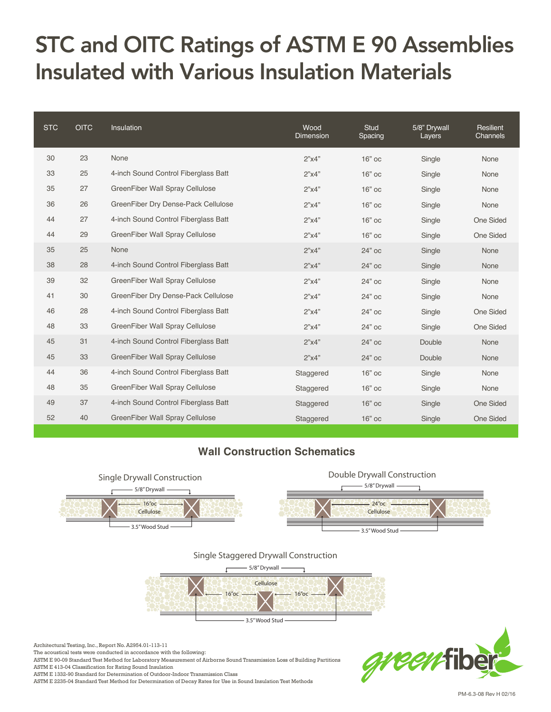### STC and OITC Ratings of ASTM E 90 Assemblies Insulated with Various Insulation Materials

| <b>STC</b> | <b>OITC</b> | Insulation                           | Wood<br>Dimension | <b>Stud</b><br>Spacing | 5/8" Drywall<br>Layers | Resilient<br>Channels |
|------------|-------------|--------------------------------------|-------------------|------------------------|------------------------|-----------------------|
| 30         | 23          | None                                 | 2"x4"             | $16"$ oc               | Single                 | None                  |
| 33         | 25          | 4-inch Sound Control Fiberglass Batt | 2"x4"             | $16"$ oc               | Single                 | None                  |
| 35         | 27          | GreenFiber Wall Spray Cellulose      | 2"x4"             | $16"$ oc               | Single                 | None                  |
| 36         | 26          | GreenFiber Dry Dense-Pack Cellulose  | 2"x4"             | $16"$ oc               | Single                 | None                  |
| 44         | 27          | 4-inch Sound Control Fiberglass Batt | 2"x4"             | $16"$ oc               | Single                 | One Sided             |
| 44         | 29          | GreenFiber Wall Spray Cellulose      | 2"x4"             | $16"$ oc               | Single                 | One Sided             |
| 35         | 25          | None                                 | 2"x4"             | 24" oc                 | Single                 | None                  |
| 38         | 28          | 4-inch Sound Control Fiberglass Batt | 2"x4"             | 24" oc                 | Single                 | None                  |
| 39         | 32          | GreenFiber Wall Spray Cellulose      | 2"x4"             | 24" oc                 | Single                 | None                  |
| 41         | 30          | GreenFiber Dry Dense-Pack Cellulose  | 2"x4"             | 24" oc                 | Single                 | None                  |
| 46         | 28          | 4-inch Sound Control Fiberglass Batt | 2"x4"             | 24" oc                 | Single                 | One Sided             |
| 48         | 33          | GreenFiber Wall Spray Cellulose      | 2"x4"             | 24" oc                 | Single                 | One Sided             |
| 45         | 31          | 4-inch Sound Control Fiberglass Batt | 2"x4"             | 24" oc                 | Double                 | None                  |
| 45         | 33          | GreenFiber Wall Spray Cellulose      | 2"x4"             | 24" oc                 | Double                 | None                  |
| 44         | 36          | 4-inch Sound Control Fiberglass Batt | Staggered         | $16"$ oc               | Single                 | None                  |
| 48         | 35          | GreenFiber Wall Spray Cellulose      | Staggered         | $16"$ oc               | Single                 | None                  |
| 49         | 37          | 4-inch Sound Control Fiberglass Batt | Staggered         | $16"$ oc               | Single                 | One Sided             |
| 52         | 40          | GreenFiber Wall Spray Cellulose      | Staggered         | 16" ос                 | Single                 | <b>One Sided</b>      |

### **Wall Construction Schematics**





Architectural Testing, Inc., Report No. A2954.01-113-11

The acoustical tests were conducted in accordance with the following:

ASTM E 90-09 Standard Test Method for Laboratory Measurement of Airborne Sound Transmission Loss of Building Partitions

ASTM E 413-04 Classification for Rating Sound Insulation

ASTM E 1332-90 Standard for Determination of Outdoor-Indoor Transmission Class

ASTM E 2235-04 Standard Test Method for Determination of Decay Rates for Use in Sound Insulation Test Methods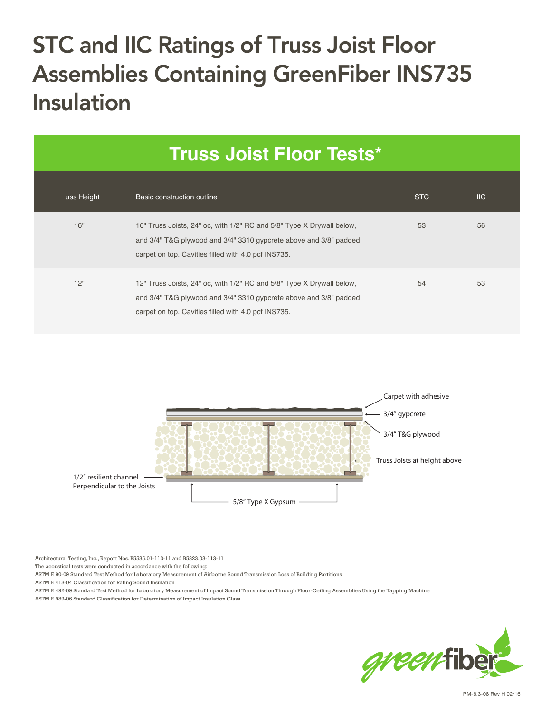## STC and IIC Ratings of Truss Joist Floor Assemblies Containing GreenFiber INS735 Insulation

| <b>Truss Joist Floor Tests*</b> |                                                                                                                                                                                                   |            |                           |  |  |  |  |
|---------------------------------|---------------------------------------------------------------------------------------------------------------------------------------------------------------------------------------------------|------------|---------------------------|--|--|--|--|
| uss Height                      | Basic construction outline                                                                                                                                                                        | <b>STC</b> | $\overline{\mathsf{IIC}}$ |  |  |  |  |
| 16"                             | 16" Truss Joists, 24" oc, with 1/2" RC and 5/8" Type X Drywall below,<br>and 3/4" T&G plywood and 3/4" 3310 gypcrete above and 3/8" padded<br>carpet on top. Cavities filled with 4.0 pcf INS735. | 53         | 56                        |  |  |  |  |
| 12"                             | 12" Truss Joists, 24" oc, with 1/2" RC and 5/8" Type X Drywall below,<br>and 3/4" T&G plywood and 3/4" 3310 gypcrete above and 3/8" padded<br>carpet on top. Cavities filled with 4.0 pcf INS735. | 54         | 53                        |  |  |  |  |



Architectural Testing, Inc., Report Nos. B5535.01-113-11 and B5323.03-113-11

The acoustical tests were conducted in accordance with the following:

ASTM E 90-09 Standard Test Method for Laboratory Measurement of Airborne Sound Transmission Loss of Building Partitions

ASTM E 413-04 Classification for Rating Sound Insulation

ASTM E 492-09 Standard Test Method for Laboratory Measurement of Impact Sound Transmission Through Floor-Ceiling Assemblies Using the Tapping Machine ASTM E 989-06 Standard Classification for Determination of Impact Insulation Class